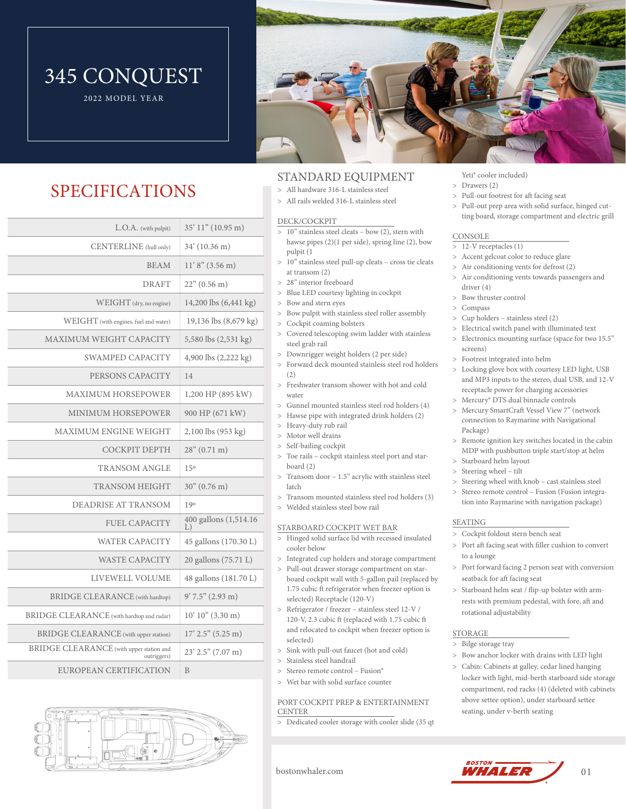2022 MODEL YEAR



## SPECIFICATIONS

| $L.O.A.$ (with pulpit)                                  | 35' 11" (10.95 m)              |
|---------------------------------------------------------|--------------------------------|
| CENTERLINE (hull only)                                  | $34'(10.36)$ m)                |
| <b>BEAM</b>                                             | $11'$ 8" (3.56 m)              |
| DRAFT                                                   | 22" (0.56 m)                   |
| WEIGHT (dry, no engine)                                 | 14,200 lbs (6,441 kg)          |
| WEIGHT (with engines, fuel and water)                   | 19,136 lbs (8,679 kg)          |
| <b>MAXIMUM WEIGHT CAPACITY</b>                          | 5,580 lbs (2,531 kg)           |
| <b>SWAMPED CAPACITY</b>                                 | 4,900 lbs (2,222 kg)           |
| PERSONS CAPACITY                                        | 14                             |
| <b>MAXIMUM HORSEPOWER</b>                               | 1,200 HP (895 kW)              |
| <b>MINIMUM HORSEPOWER</b>                               | 900 HP (671 kW)                |
| <b>MAXIMUM ENGINE WEIGHT</b>                            | $2,100$ lbs $(953 \text{ kg})$ |
| <b>COCKPIT DEPTH</b>                                    | $28^{\circ}$ (0.71 m)          |
| <b>TRANSOM ANGLE</b>                                    | 15°                            |
| <b>TRANSOM HEIGHT</b>                                   | $30^{\circ}$ (0.76 m)          |
| <b>DEADRISE AT TRANSOM</b>                              | 19°                            |
| <b>FUEL CAPACITY</b>                                    | 400 gallons (1,514.16)         |
| <b>WATER CAPACITY</b>                                   | 45 gallons (170.30 L)          |
| <b>WASTE CAPACITY</b>                                   | 20 gallons (75.71 L)           |
| LIVEWELL VOLUME                                         | 48 gallons (181.70 L)          |
| <b>BRIDGE CLEARANCE</b> (with hardtop)                  | 9'7.5''(2.93 m)                |
| BRIDGE CLEARANCE (with hardtop and radar)               | 10' 10'' (3.30 m)              |
| <b>BRIDGE CLEARANCE</b> (with upper station)            | $17'$ 2.5" (5.25 m)            |
| BRIDGE CLEARANCE (with upper station and<br>outriggers) | 23' 2.5" (7.07 m)              |
| EUROPEAN CERTIFICATION                                  | B                              |



### STANDARD EQUIPMENT

- All hardware 316-L stainless steel
- All rails welded 316-L stainless steel

#### DECK/COCKPIT

- $> 10"$  stainless steel cleats bow (2), stern with hawse pipes (2)(1 per side), spring line (2), bow pulpit (1
- 10" stainless steel pull-up cleats cross tie cleats at transom (2)
- 28" interior freeboard
- > Blue LED courtesy lighting in cockpit
- Bow and stern eyes
- Bow pulpit with stainless steel roller assembly
- Cockpit coaming bolsters
- Covered telescoping swim ladder with stainless steel grab rail
- Downrigger weight holders (2 per side)
- Forward deck mounted stainless steel rod holders  $(2)$
- > Freshwater transom shower with hot and cold water
- Gunnel mounted stainless steel rod holders (4)
- > Hawse pipe with integrated drink holders (2)
- Heavy-duty rub rail Motor well drains
- > Self-bailing cockpit
- Toe rails cockpit stainless steel port and starboard (2)
- Transom door 1.5" acrylic with stainless steel latch
- Transom mounted stainless steel rod holders (3)
- Welded stainless steel bow rail

#### STARBOARD COCKPIT WET BAR

- > Hinged solid surface lid with recessed insulated cooler below
- Integrated cup holders and storage compartment
- Pull-out drawer storage compartment on starboard cockpit wall with 5-gallon pail (replaced by 1.75 cubic ft refrigerator when freezer option is selected) Receptacle (120-V)
- Refrigerator / freezer stainless steel 12-V / 120-V, 2.3 cubic ft (replaced with 1.75 cubic ft and relocated to cockpit when freezer option is selected)
- Sink with pull-out faucet (hot and cold)
- Stainless steel handrail
- Stereo remote control Fusion<sup>®</sup>
- Wet bar with solid surface counter

#### PORT COCKPIT PREP & ENTERTAINMENT **CENTER**

> Dedicated cooler storage with cooler slide (35 qt

- Yeti<sup>®</sup> cooler included) Drawers (2)
- > Pull-out footrest for aft facing seat
- Pull-out prep area with solid surface, hinged cutting board, storage compartment and electric grill

## CONSOLE

- $> 12-V$  receptacles  $(1)$
- > Accent gelcoat color to reduce glare
- Air conditioning vents for defrost (2)
- Air conditioning vents towards passengers and driver (4)
- Bow thruster control
- > Compass
- Cup holders stainless steel (2)
- Electrical switch panel with illuminated text
- > Electronics mounting surface (space for two 15.5" screens)
- Footrest integrated into helm
- Locking glove box with courtesy LED light, USB and MP3 inputs to the stereo, dual USB, and 12-V receptacle power for charging accessories
- > Mercury<sup>®</sup> DTS dual binnacle controls
- Mercury SmartCraft Vessel View 7" (network connection to Raymarine with Navigational Package)
- Remote ignition key switches located in the cabin MDP with pushbutton triple start/stop at helm
- Starboard helm layout
- > Steering wheel tilt
- > Steering wheel with knob cast stainless steel > Stereo remote control – Fusion (Fusion integra-
- tion into Raymarine with navigation package)

### SEATING

- Cockpit foldout stern bench seat
- Port aft facing seat with filler cushion to convert to a lounge
- > Port forward facing 2 person seat with conversion seatback for aft facing seat
- > Starboard helm seat / flip-up bolster with armrests with premium pedestal, with fore, aft and rotational adjustability

#### STORAGE

- > Bilge storage tray
- > Bow anchor locker with drains with LED light
- Cabin: Cabinets at galley, cedar lined hanging locker with light, mid-berth starboard side storage compartment, rod racks (4) (deleted with cabinets above settee option), under starboard settee seating, under v-berth seating



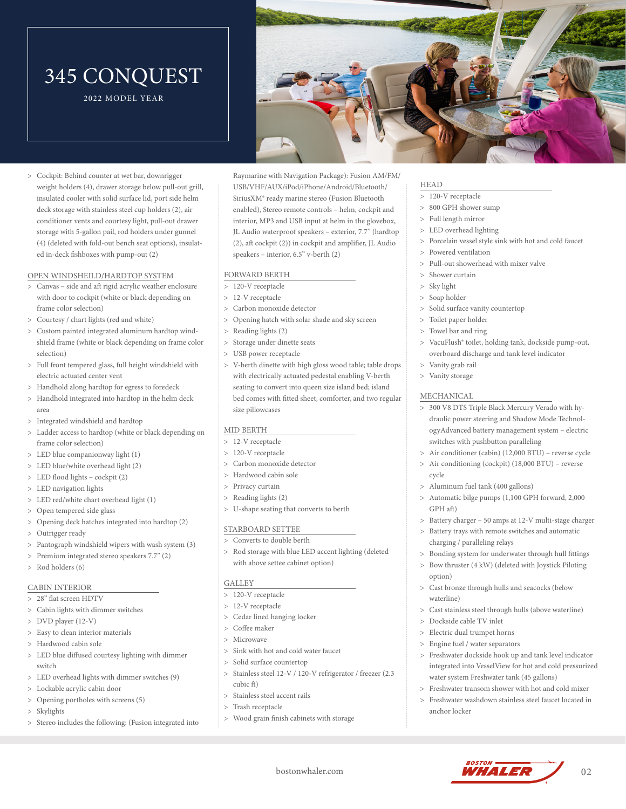2022 MODEL YEAR



 Cockpit: Behind counter at wet bar, downrigger weight holders (4), drawer storage below pull-out grill, insulated cooler with solid surface lid, port side helm deck storage with stainless steel cup holders (2), air conditioner vents and courtesy light, pull-out drawer storage with 5-gallon pail, rod holders under gunnel (4) (deleted with fold-out bench seat options), insulated in-deck fishboxes with pump-out (2)

#### OPEN WINDSHEILD/HARDTOP SYSTEM

- Canvas side and aft rigid acrylic weather enclosure with door to cockpit (white or black depending on frame color selection)
- Courtesy / chart lights (red and white)
- Custom painted integrated aluminum hardtop windshield frame (white or black depending on frame color selection)
- > Full front tempered glass, full height windshield with electric actuated center vent
- > Handhold along hardtop for egress to foredeck
- > Handhold integrated into hardtop in the helm deck area
- > Integrated windshield and hardtop
- Ladder access to hardtop (white or black depending on frame color selection)
- LED blue companionway light (1)
- LED blue/white overhead light (2)
- LED flood lights cockpit (2)
- LED navigation lights
- LED red/white chart overhead light (1)
- Open tempered side glass
- Opening deck hatches integrated into hardtop (2)
- Outrigger ready
- Pantograph windshield wipers with wash system (3)
- Premium integrated stereo speakers 7.7" (2)
- Rod holders (6)

#### CABIN INTERIOR

- 28" flat screen HDTV
- Cabin lights with dimmer switches
- DVD player (12-V)
- > Easy to clean interior materials
- > Hardwood cabin sole
- LED blue diffused courtesy lighting with dimmer switch
- LED overhead lights with dimmer switches (9)
- Lockable acrylic cabin door
- Opening portholes with screens (5)
- > Skylights
- > Stereo includes the following: (Fusion integrated into

Raymarine with Navigation Package): Fusion AM/FM/ USB/VHF/AUX/iPod/iPhone/Android/Bluetooth/ SiriusXM® ready marine stereo (Fusion Bluetooth enabled), Stereo remote controls – helm, cockpit and interior, MP3 and USB input at helm in the glovebox, JL Audio waterproof speakers – exterior, 7.7" (hardtop (2), aft cockpit (2)) in cockpit and amplifier, JL Audio speakers – interior, 6.5" v-berth (2)

#### FORWARD BERTH

- > 120-V receptacle
- > 12-V receptacle
- Carbon monoxide detector
- Opening hatch with solar shade and sky screen
- > Reading lights (2)
- > Storage under dinette seats
- USB power receptacle
- V-berth dinette with high gloss wood table; table drops with electrically actuated pedestal enabling V-berth seating to convert into queen size island bed; island bed comes with fitted sheet, comforter, and two regular size pillowcases

#### MID BERTH

- > 12-V receptacle
- > 120-V receptacle
- Carbon monoxide detector
- Hardwood cabin sole
- > Privacy curtain
- > Reading lights (2)
- U-shape seating that converts to berth

#### STARBOARD SETTEE

- Converts to double berth
- > Rod storage with blue LED accent lighting (deleted with above settee cabinet option)

#### **GALLEY**

- 120-V receptacle
- > 12-V receptacle
- > Cedar lined hanging locker
- Coffee maker
- Microwave
- > Sink with hot and cold water faucet
- > Solid surface countertop
- > Stainless steel 12-V / 120-V refrigerator / freezer (2.3 cubic ft)
- > Stainless steel accent rails
- Trash receptacle
- Wood grain finish cabinets with storage

### HEAD

- > 120-V receptacle
- 800 GPH shower sump
- Full length mirror
- LED overhead lighting
- > Porcelain vessel style sink with hot and cold faucet
- Powered ventilation
- Pull-out showerhead with mixer valve
- Shower curtain
- > Sky light
- > Soap holder
- Solid surface vanity countertop
- Toilet paper holder
- Towel bar and ring
- VacuFlush® toilet, holding tank, dockside pump-out, overboard discharge and tank level indicator
- > Vanity grab rail
- > Vanity storage

#### MECHANICAL

- 300 V8 DTS Triple Black Mercury Verado with hydraulic power steering and Shadow Mode TechnologyAdvanced battery management system – electric switches with pushbutton paralleling
- Air conditioner (cabin) (12,000 BTU) reverse cycle
- Air conditioning (cockpit) (18,000 BTU) reverse
	- cycle
- Aluminum fuel tank (400 gallons)
- Automatic bilge pumps (1,100 GPH forward, 2,000 GPH aft)
- > Battery charger 50 amps at 12-V multi-stage charger
- > Battery trays with remote switches and automatic charging / paralleling relays
- > Bonding system for underwater through hull fittings
- > Bow thruster (4 kW) (deleted with Joystick Piloting option)
- Cast bronze through hulls and seacocks (below waterline)
- Cast stainless steel through hulls (above waterline)

 Freshwater dockside hook up and tank level indicator integrated into VesselView for hot and cold pressurized

water system Freshwater tank (45 gallons) Freshwater transom shower with hot and cold mixer Freshwater washdown stainless steel faucet located in

**ROSTON** 

 Dockside cable TV inlet Electric dual trumpet horns

Engine fuel / water separators

bostonwhaler.com **WHALER** 02

anchor locker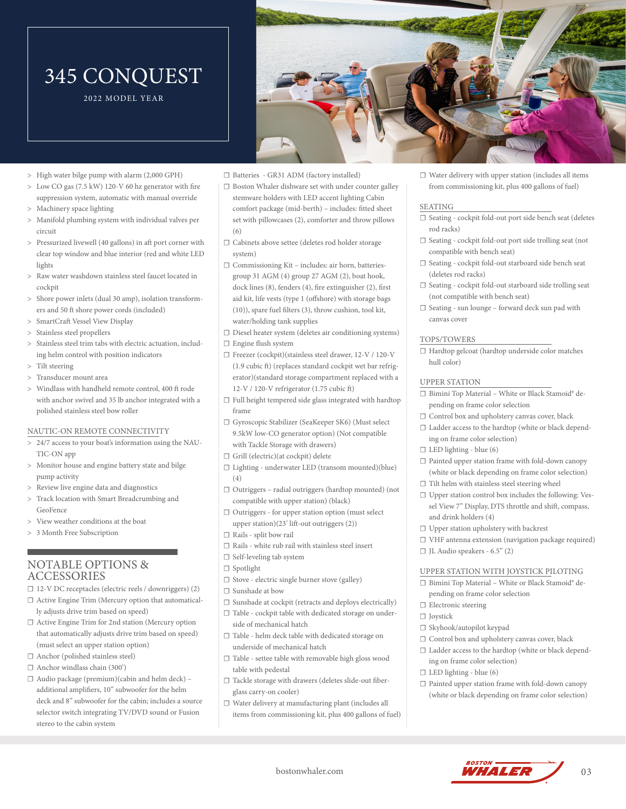2022 MODEL YEAR



- > High water bilge pump with alarm (2,000 GPH)
- Low CO gas (7.5 kW) 120-V 60 hz generator with fire suppression system, automatic with manual override
- > Machinery space lighting
- Manifold plumbing system with individual valves per circuit
- > Pressurized livewell (40 gallons) in aft port corner with clear top window and blue interior (red and white LED lights
- Raw water washdown stainless steel faucet located in cockpit
- > Shore power inlets (dual 30 amp), isolation transformers and 50 ft shore power cords (included)
- > SmartCraft Vessel View Display
- > Stainless steel propellers
- > Stainless steel trim tabs with electric actuation, including helm control with position indicators
- > Tilt steering
- Transducer mount area
- Windlass with handheld remote control, 400 ft rode with anchor swivel and 35 lb anchor integrated with a polished stainless steel bow roller

#### NAUTIC-ON REMOTE CONNECTIVITY

- 24/7 access to your boat's information using the NAU-TIC-ON app
- Monitor house and engine battery state and bilge pump activity
- Review live engine data and diagnostics
- Track location with Smart Breadcrumbing and GeoFence
- > View weather conditions at the boat
- 3 Month Free Subscription

### NOTABLE OPTIONS & ACCESSORIES

- ☐ 12-V DC receptacles (electric reels / downriggers) (2)
- □ Active Engine Trim (Mercury option that automatically adjusts drive trim based on speed)
- ☐ Active Engine Trim for 2nd station (Mercury option that automatically adjusts drive trim based on speed) (must select an upper station option)
- ☐ Anchor (polished stainless steel)
- ☐ Anchor windlass chain (300')
- ☐ Audio package (premium)(cabin and helm deck) additional amplifiers, 10" subwoofer for the helm deck and 8" subwoofer for the cabin; includes a source selector switch integrating TV/DVD sound or Fusion stereo to the cabin system
- ☐ Batteries GR31 ADM (factory installed)
- □ Boston Whaler dishware set with under counter galley stemware holders with LED accent lighting Cabin comfort package (mid-berth) – includes: fitted sheet set with pillowcases (2), comforter and throw pillows (6)
- ☐ Cabinets above settee (deletes rod holder storage system)
- ☐ Commissioning Kit includes: air horn, batteriesgroup 31 AGM (4) group 27 AGM (2), boat hook, dock lines (8), fenders (4), fire extinguisher (2), first aid kit, life vests (type 1 (offshore) with storage bags (10)), spare fuel filters (3), throw cushion, tool kit, water/holding tank supplies
- ☐ Diesel heater system (deletes air conditioning systems)
- ☐ Engine flush system
- ☐ Freezer (cockpit)(stainless steel drawer, 12-V / 120-V (1.9 cubic ft) (replaces standard cockpit wet bar refrigerator)(standard storage compartment replaced with a 12-V / 120-V refrigerator (1.75 cubic ft)
- ☐ Full height tempered side glass integrated with hardtop frame
- ☐ Gyroscopic Stabilizer (SeaKeeper SK6) (Must select 9.5kW low-CO generator option) (Not compatible with Tackle Storage with drawers)
- ☐ Grill (electric)(at cockpit) delete
- ☐ Lighting underwater LED (transom mounted)(blue) (4)
- ☐ Outriggers radial outriggers (hardtop mounted) (not compatible with upper station) (black)
- ☐ Outriggers for upper station option (must select upper station)(23' lift-out outriggers (2))
- ☐ Rails split bow rail
- $\Box$  <br> Rails white rub rail with stainless steel insert
- ☐ Self-leveling tab system
- ☐ Spotlight
- ☐ Stove electric single burner stove (galley)
- ☐ Sunshade at bow
- ☐ Sunshade at cockpit (retracts and deploys electrically)
- ☐ Table cockpit table with dedicated storage on underside of mechanical hatch
- ☐ Table helm deck table with dedicated storage on underside of mechanical hatch
- ☐ Table settee table with removable high gloss wood table with pedestal
- ☐ Tackle storage with drawers (deletes slide-out fiberglass carry-on cooler)
- ☐ Water delivery at manufacturing plant (includes all items from commissioning kit, plus 400 gallons of fuel)

☐ Water delivery with upper station (includes all items from commissioning kit, plus 400 gallons of fuel)

#### SEATING

- ☐ Seating cockpit fold-out port side bench seat (deletes rod racks)
- ☐ Seating cockpit fold-out port side trolling seat (not compatible with bench seat)
- $\Box$ <br> Seating cockpit fold-out starboard side bench seat (deletes rod racks)
- ☐ Seating cockpit fold-out starboard side trolling seat (not compatible with bench seat)
- ☐ Seating sun lounge forward deck sun pad with canvas cover

#### TOPS/TOWERS

☐ Hardtop gelcoat (hardtop underside color matches hull color)

#### UPPER STATION

- ☐ Bimini Top Material White or Black Stamoid® depending on frame color selection
- ☐ Control box and upholstery canvas cover, black
- ☐ Ladder access to the hardtop (white or black depending on frame color selection)
- ☐ LED lighting blue (6)
- ☐ Painted upper station frame with fold-down canopy (white or black depending on frame color selection)
- $\Box$  Tilt helm with stainless steel steering wheel
- ☐ Upper station control box includes the following: Vessel View 7" Display, DTS throttle and shift, compass, and drink holders (4)
- ☐ Upper station upholstery with backrest
- ☐ VHF antenna extension (navigation package required)
- ☐ JL Audio speakers 6.5" (2)

#### UPPER STATION WITH JOYSTICK PILOTING

- ☐ Bimini Top Material White or Black Stamoid® depending on frame color selection
- □ Electronic steering
- ☐ Joystick
- ☐ Skyhook/autopilot keypad
- ☐ Control box and upholstery canvas cover, black
- ☐ Ladder access to the hardtop (white or black depending on frame color selection)
- ☐ LED lighting blue (6)
- ☐ Painted upper station frame with fold-down canopy (white or black depending on frame color selection)